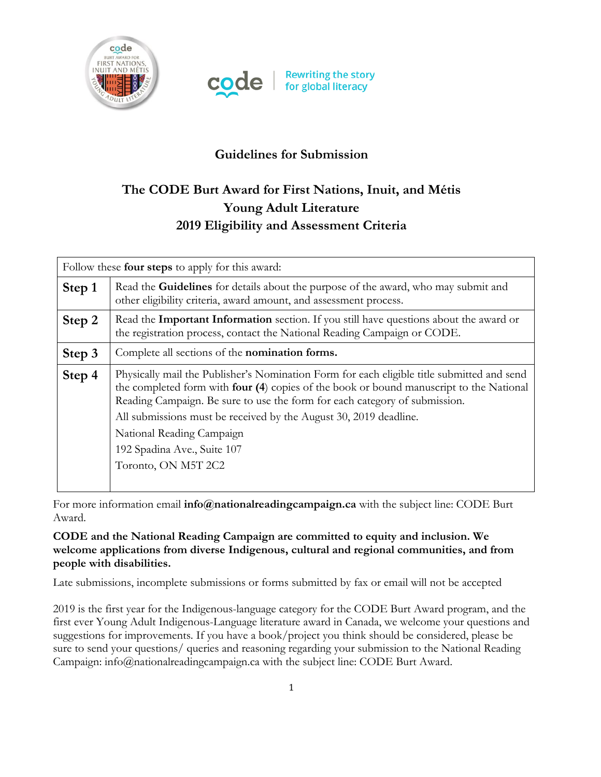



## **Guidelines for Submission**

# **The CODE Burt Award for First Nations, Inuit, and Métis Young Adult Literature 2019 Eligibility and Assessment Criteria**

| Follow these <b>four steps</b> to apply for this award: |                                                                                                                                                                                                                                                                                                                                                                                                                             |
|---------------------------------------------------------|-----------------------------------------------------------------------------------------------------------------------------------------------------------------------------------------------------------------------------------------------------------------------------------------------------------------------------------------------------------------------------------------------------------------------------|
| Step 1                                                  | Read the <b>Guidelines</b> for details about the purpose of the award, who may submit and<br>other eligibility criteria, award amount, and assessment process.                                                                                                                                                                                                                                                              |
| Step 2                                                  | Read the Important Information section. If you still have questions about the award or<br>the registration process, contact the National Reading Campaign or CODE.                                                                                                                                                                                                                                                          |
| Step 3                                                  | Complete all sections of the <b>nomination forms.</b>                                                                                                                                                                                                                                                                                                                                                                       |
| Step 4                                                  | Physically mail the Publisher's Nomination Form for each eligible title submitted and send<br>the completed form with four (4) copies of the book or bound manuscript to the National<br>Reading Campaign. Be sure to use the form for each category of submission.<br>All submissions must be received by the August 30, 2019 deadline.<br>National Reading Campaign<br>192 Spadina Ave., Suite 107<br>Toronto, ON M5T 2C2 |

For more information email **info@nationalreadingcampaign.ca** with the subject line: CODE Burt Award.

#### **CODE and the National Reading Campaign are committed to equity and inclusion. We welcome applications from diverse Indigenous, cultural and regional communities, and from people with disabilities.**

Late submissions, incomplete submissions or forms submitted by fax or email will not be accepted

2019 is the first year for the Indigenous-language category for the CODE Burt Award program, and the first ever Young Adult Indigenous-Language literature award in Canada, we welcome your questions and suggestions for improvements. If you have a book/project you think should be considered, please be sure to send your questions/ queries and reasoning regarding your submission to the National Reading Campaign: info@nationalreadingcampaign.ca with the subject line: CODE Burt Award.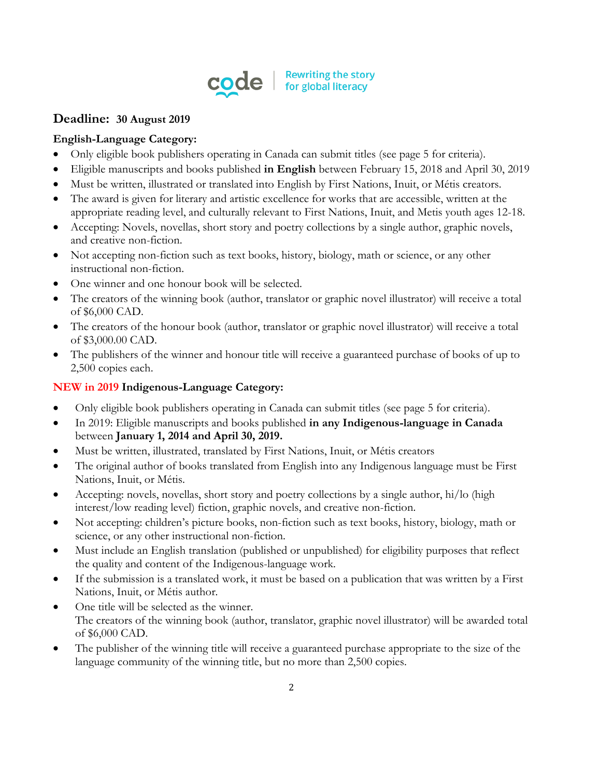

### **Deadline: 30 August 2019**

#### **English-Language Category:**

- Only eligible book publishers operating in Canada can submit titles (see page 5 for criteria).
- Eligible manuscripts and books published **in English** between February 15, 2018 and April 30, 2019
- Must be written, illustrated or translated into English by First Nations, Inuit, or Métis creators.
- The award is given for literary and artistic excellence for works that are accessible, written at the appropriate reading level, and culturally relevant to First Nations, Inuit, and Metis youth ages 12-18.
- Accepting: Novels, novellas, short story and poetry collections by a single author, graphic novels, and creative non-fiction.
- Not accepting non-fiction such as text books, history, biology, math or science, or any other instructional non-fiction.
- One winner and one honour book will be selected.
- The creators of the winning book (author, translator or graphic novel illustrator) will receive a total of \$6,000 CAD.
- The creators of the honour book (author, translator or graphic novel illustrator) will receive a total of \$3,000.00 CAD.
- The publishers of the winner and honour title will receive a guaranteed purchase of books of up to 2,500 copies each.

#### **NEW in 2019 Indigenous-Language Category:**

- Only eligible book publishers operating in Canada can submit titles (see page 5 for criteria).
- In 2019: Eligible manuscripts and books published **in any Indigenous-language in Canada** between **January 1, 2014 and April 30, 2019.**
- Must be written, illustrated, translated by First Nations, Inuit, or Métis creators
- The original author of books translated from English into any Indigenous language must be First Nations, Inuit, or Métis.
- Accepting: novels, novellas, short story and poetry collections by a single author, hi/lo (high interest/low reading level) fiction, graphic novels, and creative non-fiction.
- Not accepting: children's picture books, non-fiction such as text books, history, biology, math or science, or any other instructional non-fiction.
- Must include an English translation (published or unpublished) for eligibility purposes that reflect the quality and content of the Indigenous-language work.
- If the submission is a translated work, it must be based on a publication that was written by a First Nations, Inuit, or Métis author.
- One title will be selected as the winner. The creators of the winning book (author, translator, graphic novel illustrator) will be awarded total of \$6,000 CAD.
- The publisher of the winning title will receive a guaranteed purchase appropriate to the size of the language community of the winning title, but no more than 2,500 copies.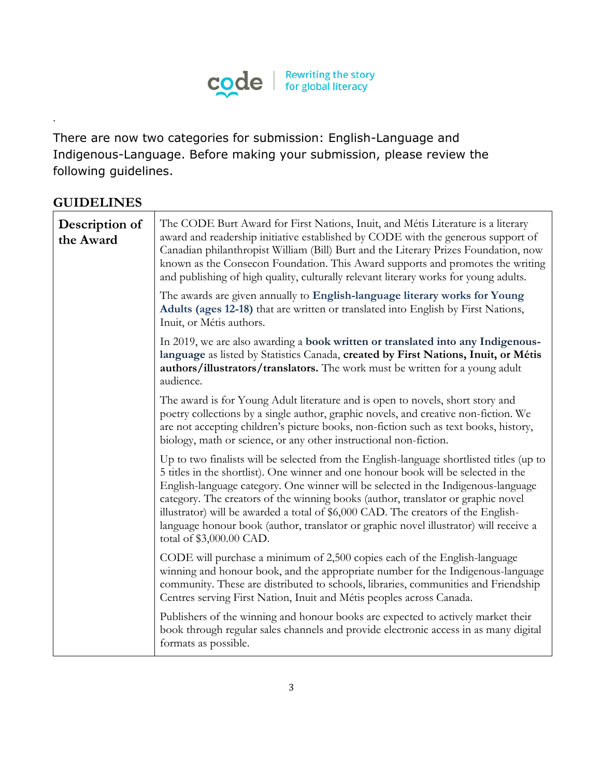

There are now two categories for submission: English-Language and Indigenous-Language. Before making your submission, please review the following guidelines.

## **GUIDELINES**

.

| Description of<br>the Award | The CODE Burt Award for First Nations, Inuit, and Métis Literature is a literary<br>award and readership initiative established by CODE with the generous support of<br>Canadian philanthropist William (Bill) Burt and the Literary Prizes Foundation, now<br>known as the Consecon Foundation. This Award supports and promotes the writing<br>and publishing of high quality, culturally relevant literary works for young adults.                                                                                                                             |
|-----------------------------|-------------------------------------------------------------------------------------------------------------------------------------------------------------------------------------------------------------------------------------------------------------------------------------------------------------------------------------------------------------------------------------------------------------------------------------------------------------------------------------------------------------------------------------------------------------------|
|                             | The awards are given annually to English-language literary works for Young<br>Adults (ages 12-18) that are written or translated into English by First Nations,<br>Inuit, or Métis authors.                                                                                                                                                                                                                                                                                                                                                                       |
|                             | In 2019, we are also awarding a book written or translated into any Indigenous-<br>language as listed by Statistics Canada, created by First Nations, Inuit, or Métis<br>authors/illustrators/translators. The work must be written for a young adult<br>audience.                                                                                                                                                                                                                                                                                                |
|                             | The award is for Young Adult literature and is open to novels, short story and<br>poetry collections by a single author, graphic novels, and creative non-fiction. We<br>are not accepting children's picture books, non-fiction such as text books, history,<br>biology, math or science, or any other instructional non-fiction.                                                                                                                                                                                                                                |
|                             | Up to two finalists will be selected from the English-language shortlisted titles (up to<br>5 titles in the shortlist). One winner and one honour book will be selected in the<br>English-language category. One winner will be selected in the Indigenous-language<br>category. The creators of the winning books (author, translator or graphic novel<br>illustrator) will be awarded a total of \$6,000 CAD. The creators of the English-<br>language honour book (author, translator or graphic novel illustrator) will receive a<br>total of \$3,000.00 CAD. |
|                             | CODE will purchase a minimum of 2,500 copies each of the English-language<br>winning and honour book, and the appropriate number for the Indigenous-language<br>community. These are distributed to schools, libraries, communities and Friendship<br>Centres serving First Nation, Inuit and Métis peoples across Canada.                                                                                                                                                                                                                                        |
|                             | Publishers of the winning and honour books are expected to actively market their<br>book through regular sales channels and provide electronic access in as many digital<br>formats as possible.                                                                                                                                                                                                                                                                                                                                                                  |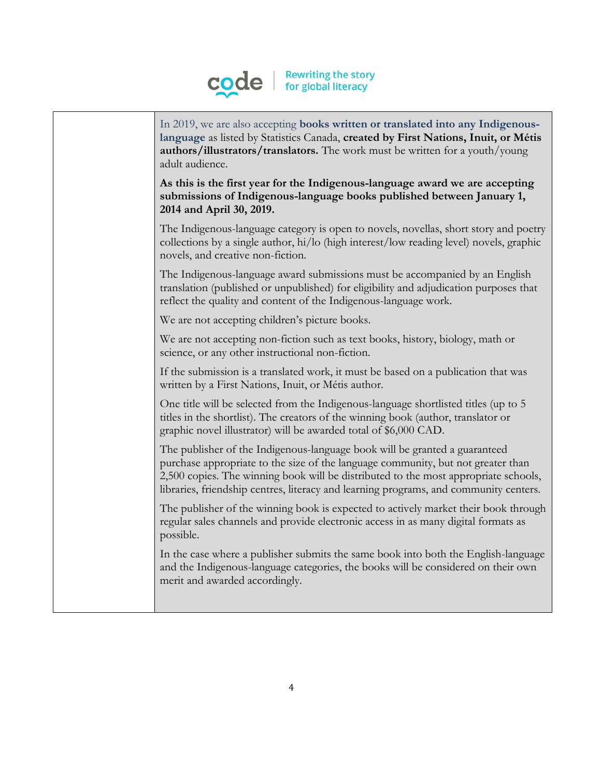

| In 2019, we are also accepting books written or translated into any Indigenous-<br>language as listed by Statistics Canada, created by First Nations, Inuit, or Métis<br>authors/illustrators/translators. The work must be written for a youth/young<br>adult audience.                                                                       |
|------------------------------------------------------------------------------------------------------------------------------------------------------------------------------------------------------------------------------------------------------------------------------------------------------------------------------------------------|
| As this is the first year for the Indigenous-language award we are accepting<br>submissions of Indigenous-language books published between January 1,<br>2014 and April 30, 2019.                                                                                                                                                              |
| The Indigenous-language category is open to novels, novellas, short story and poetry<br>collections by a single author, hi/lo (high interest/low reading level) novels, graphic<br>novels, and creative non-fiction.                                                                                                                           |
| The Indigenous-language award submissions must be accompanied by an English<br>translation (published or unpublished) for eligibility and adjudication purposes that<br>reflect the quality and content of the Indigenous-language work.                                                                                                       |
| We are not accepting children's picture books.                                                                                                                                                                                                                                                                                                 |
| We are not accepting non-fiction such as text books, history, biology, math or<br>science, or any other instructional non-fiction.                                                                                                                                                                                                             |
| If the submission is a translated work, it must be based on a publication that was<br>written by a First Nations, Inuit, or Métis author.                                                                                                                                                                                                      |
| One title will be selected from the Indigenous-language shortlisted titles (up to 5<br>titles in the shortlist). The creators of the winning book (author, translator or<br>graphic novel illustrator) will be awarded total of \$6,000 CAD.                                                                                                   |
| The publisher of the Indigenous-language book will be granted a guaranteed<br>purchase appropriate to the size of the language community, but not greater than<br>2,500 copies. The winning book will be distributed to the most appropriate schools,<br>libraries, friendship centres, literacy and learning programs, and community centers. |
| The publisher of the winning book is expected to actively market their book through<br>regular sales channels and provide electronic access in as many digital formats as<br>possible.                                                                                                                                                         |
| In the case where a publisher submits the same book into both the English-language<br>and the Indigenous-language categories, the books will be considered on their own<br>merit and awarded accordingly.                                                                                                                                      |
|                                                                                                                                                                                                                                                                                                                                                |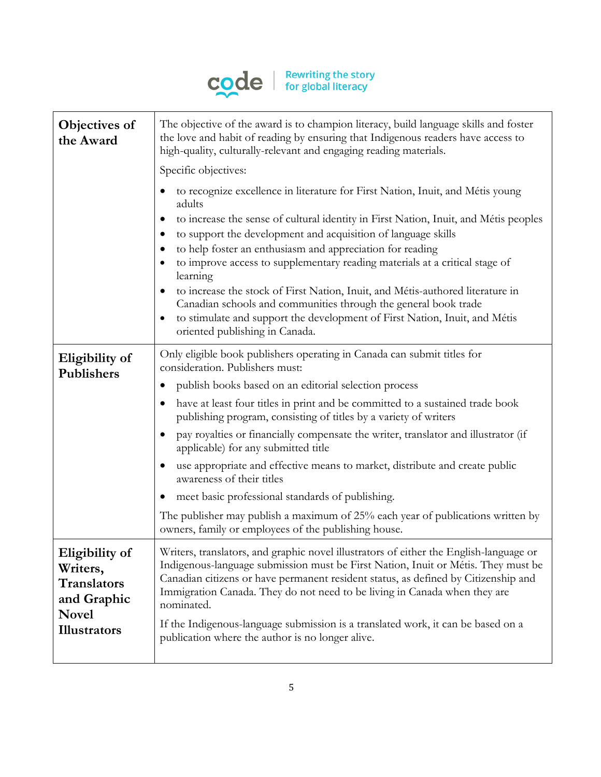

| Objectives of<br>the Award                                                                             | The objective of the award is to champion literacy, build language skills and foster<br>the love and habit of reading by ensuring that Indigenous readers have access to<br>high-quality, culturally-relevant and engaging reading materials.                                                                                                                                                                                                                                                                                                                                                                                                                                                    |
|--------------------------------------------------------------------------------------------------------|--------------------------------------------------------------------------------------------------------------------------------------------------------------------------------------------------------------------------------------------------------------------------------------------------------------------------------------------------------------------------------------------------------------------------------------------------------------------------------------------------------------------------------------------------------------------------------------------------------------------------------------------------------------------------------------------------|
|                                                                                                        | Specific objectives:                                                                                                                                                                                                                                                                                                                                                                                                                                                                                                                                                                                                                                                                             |
|                                                                                                        | to recognize excellence in literature for First Nation, Inuit, and Métis young<br>adults<br>to increase the sense of cultural identity in First Nation, Inuit, and Métis peoples<br>$\bullet$<br>to support the development and acquisition of language skills<br>٠<br>to help foster an enthusiasm and appreciation for reading<br>to improve access to supplementary reading materials at a critical stage of<br>learning<br>to increase the stock of First Nation, Inuit, and Métis-authored literature in<br>Canadian schools and communities through the general book trade<br>to stimulate and support the development of First Nation, Inuit, and Métis<br>oriented publishing in Canada. |
| Eligibility of<br>Publishers                                                                           | Only eligible book publishers operating in Canada can submit titles for<br>consideration. Publishers must:                                                                                                                                                                                                                                                                                                                                                                                                                                                                                                                                                                                       |
|                                                                                                        | publish books based on an editorial selection process<br>$\bullet$                                                                                                                                                                                                                                                                                                                                                                                                                                                                                                                                                                                                                               |
|                                                                                                        | have at least four titles in print and be committed to a sustained trade book<br>publishing program, consisting of titles by a variety of writers                                                                                                                                                                                                                                                                                                                                                                                                                                                                                                                                                |
|                                                                                                        | pay royalties or financially compensate the writer, translator and illustrator (if<br>$\bullet$<br>applicable) for any submitted title                                                                                                                                                                                                                                                                                                                                                                                                                                                                                                                                                           |
|                                                                                                        | use appropriate and effective means to market, distribute and create public<br>awareness of their titles                                                                                                                                                                                                                                                                                                                                                                                                                                                                                                                                                                                         |
|                                                                                                        | meet basic professional standards of publishing.<br>$\bullet$                                                                                                                                                                                                                                                                                                                                                                                                                                                                                                                                                                                                                                    |
|                                                                                                        | The publisher may publish a maximum of 25% each year of publications written by<br>owners, family or employees of the publishing house.                                                                                                                                                                                                                                                                                                                                                                                                                                                                                                                                                          |
| Eligibility of<br>Writers,<br><b>Translators</b><br>and Graphic<br><b>Novel</b><br><b>Illustrators</b> | Writers, translators, and graphic novel illustrators of either the English-language or<br>Indigenous-language submission must be First Nation, Inuit or Métis. They must be<br>Canadian citizens or have permanent resident status, as defined by Citizenship and<br>Immigration Canada. They do not need to be living in Canada when they are<br>nominated.<br>If the Indigenous-language submission is a translated work, it can be based on a<br>publication where the author is no longer alive.                                                                                                                                                                                             |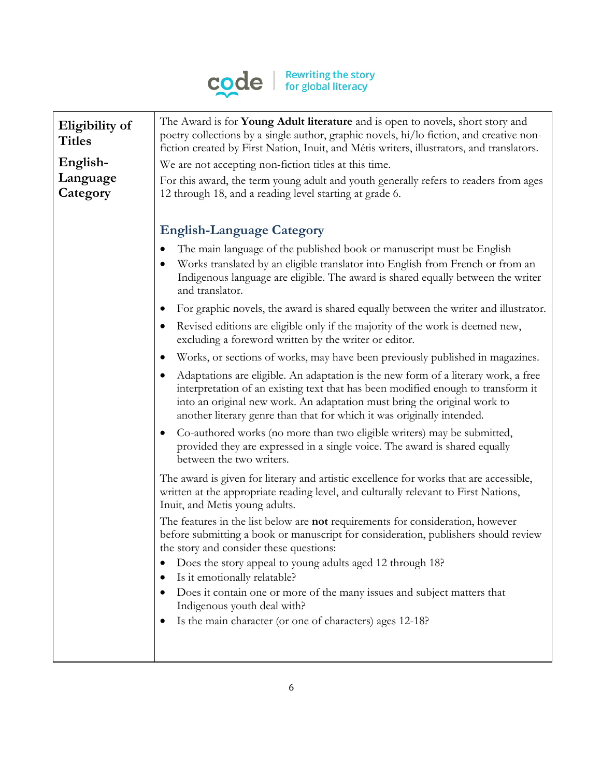

| Eligibility of<br><b>Titles</b> | The Award is for Young Adult literature and is open to novels, short story and<br>poetry collections by a single author, graphic novels, hi/lo fiction, and creative non-<br>fiction created by First Nation, Inuit, and Métis writers, illustrators, and translators.                                                                    |
|---------------------------------|-------------------------------------------------------------------------------------------------------------------------------------------------------------------------------------------------------------------------------------------------------------------------------------------------------------------------------------------|
| English-                        | We are not accepting non-fiction titles at this time.                                                                                                                                                                                                                                                                                     |
| Language<br>Category            | For this award, the term young adult and youth generally refers to readers from ages<br>12 through 18, and a reading level starting at grade 6.                                                                                                                                                                                           |
|                                 | <b>English-Language Category</b>                                                                                                                                                                                                                                                                                                          |
|                                 | The main language of the published book or manuscript must be English<br>$\bullet$<br>Works translated by an eligible translator into English from French or from an<br>٠<br>Indigenous language are eligible. The award is shared equally between the writer<br>and translator.                                                          |
|                                 | For graphic novels, the award is shared equally between the writer and illustrator.<br>$\bullet$                                                                                                                                                                                                                                          |
|                                 | Revised editions are eligible only if the majority of the work is deemed new,<br>$\bullet$<br>excluding a foreword written by the writer or editor.                                                                                                                                                                                       |
|                                 | Works, or sections of works, may have been previously published in magazines.<br>$\bullet$                                                                                                                                                                                                                                                |
|                                 | Adaptations are eligible. An adaptation is the new form of a literary work, a free<br>$\bullet$<br>interpretation of an existing text that has been modified enough to transform it<br>into an original new work. An adaptation must bring the original work to<br>another literary genre than that for which it was originally intended. |
|                                 | Co-authored works (no more than two eligible writers) may be submitted,<br>$\bullet$<br>provided they are expressed in a single voice. The award is shared equally<br>between the two writers.                                                                                                                                            |
|                                 | The award is given for literary and artistic excellence for works that are accessible,<br>written at the appropriate reading level, and culturally relevant to First Nations,<br>Inuit, and Metis young adults.                                                                                                                           |
|                                 | The features in the list below are <b>not</b> requirements for consideration, however<br>before submitting a book or manuscript for consideration, publishers should review<br>the story and consider these questions:                                                                                                                    |
|                                 | Does the story appeal to young adults aged 12 through 18?<br>Is it emotionally relatable?<br>$\bullet$                                                                                                                                                                                                                                    |
|                                 | Does it contain one or more of the many issues and subject matters that<br>Indigenous youth deal with?                                                                                                                                                                                                                                    |
|                                 | Is the main character (or one of characters) ages 12-18?                                                                                                                                                                                                                                                                                  |
|                                 |                                                                                                                                                                                                                                                                                                                                           |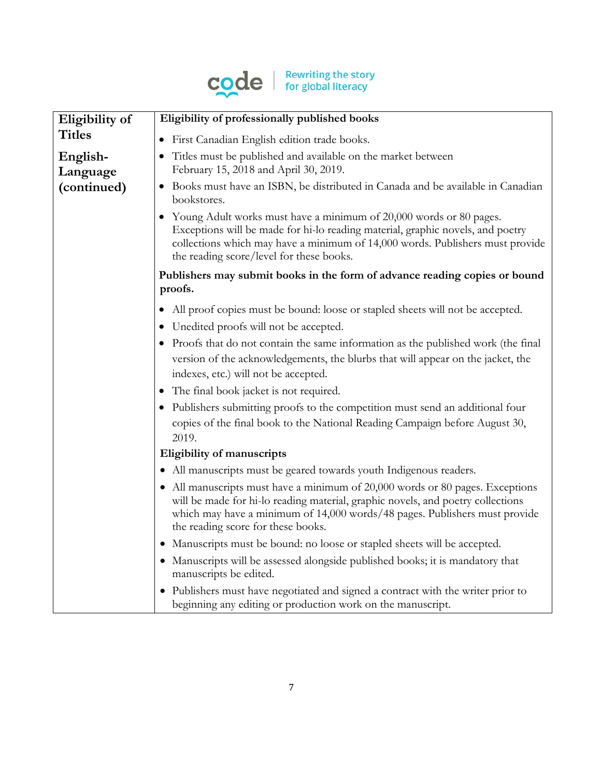

| Eligibility of       | Eligibility of professionally published books                                                                                                                                                                                                                                          |
|----------------------|----------------------------------------------------------------------------------------------------------------------------------------------------------------------------------------------------------------------------------------------------------------------------------------|
| <b>Titles</b>        | • First Canadian English edition trade books.                                                                                                                                                                                                                                          |
| English-<br>Language | Titles must be published and available on the market between<br>February 15, 2018 and April 30, 2019.                                                                                                                                                                                  |
| (continued)          | • Books must have an ISBN, be distributed in Canada and be available in Canadian<br>bookstores.                                                                                                                                                                                        |
|                      | • Young Adult works must have a minimum of 20,000 words or 80 pages.<br>Exceptions will be made for hi-lo reading material, graphic novels, and poetry<br>collections which may have a minimum of 14,000 words. Publishers must provide<br>the reading score/level for these books.    |
|                      | Publishers may submit books in the form of advance reading copies or bound<br>proofs.                                                                                                                                                                                                  |
|                      | All proof copies must be bound: loose or stapled sheets will not be accepted.<br>• Unedited proofs will not be accepted.                                                                                                                                                               |
|                      | • Proofs that do not contain the same information as the published work (the final<br>version of the acknowledgements, the blurbs that will appear on the jacket, the<br>indexes, etc.) will not be accepted.                                                                          |
|                      | • The final book jacket is not required.                                                                                                                                                                                                                                               |
|                      | • Publishers submitting proofs to the competition must send an additional four<br>copies of the final book to the National Reading Campaign before August 30,<br>2019.                                                                                                                 |
|                      | Eligibility of manuscripts                                                                                                                                                                                                                                                             |
|                      | • All manuscripts must be geared towards youth Indigenous readers.                                                                                                                                                                                                                     |
|                      | • All manuscripts must have a minimum of $20,000$ words or 80 pages. Exceptions<br>will be made for hi-lo reading material, graphic novels, and poetry collections<br>which may have a minimum of 14,000 words/48 pages. Publishers must provide<br>the reading score for these books. |
|                      | • Manuscripts must be bound: no loose or stapled sheets will be accepted.                                                                                                                                                                                                              |
|                      | • Manuscripts will be assessed alongside published books; it is mandatory that<br>manuscripts be edited.                                                                                                                                                                               |
|                      | • Publishers must have negotiated and signed a contract with the writer prior to<br>beginning any editing or production work on the manuscript.                                                                                                                                        |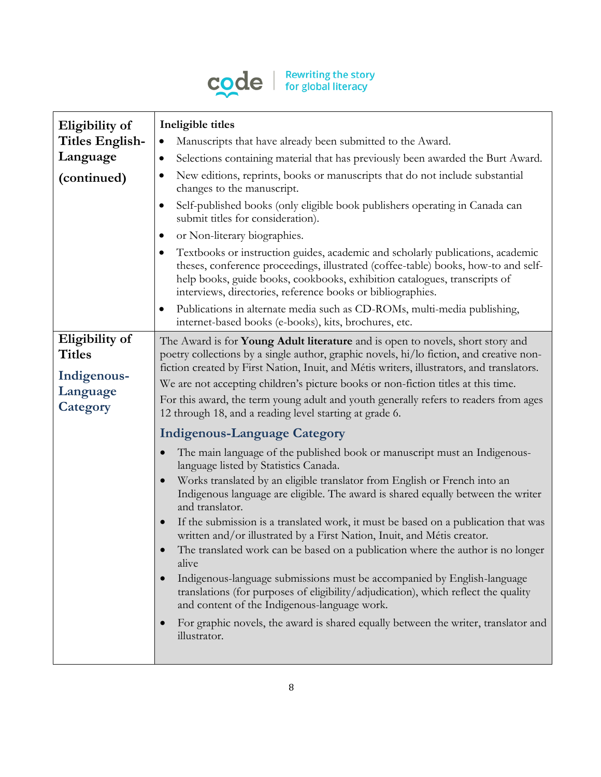

| Eligibility of  | Ineligible titles                                                                                                                                                                                                                                                                                                             |
|-----------------|-------------------------------------------------------------------------------------------------------------------------------------------------------------------------------------------------------------------------------------------------------------------------------------------------------------------------------|
| Titles English- | Manuscripts that have already been submitted to the Award.<br>$\bullet$                                                                                                                                                                                                                                                       |
| Language        | Selections containing material that has previously been awarded the Burt Award.<br>$\bullet$                                                                                                                                                                                                                                  |
| (continued)     | New editions, reprints, books or manuscripts that do not include substantial<br>٠<br>changes to the manuscript.                                                                                                                                                                                                               |
|                 | Self-published books (only eligible book publishers operating in Canada can<br>$\bullet$<br>submit titles for consideration).                                                                                                                                                                                                 |
|                 | or Non-literary biographies.<br>$\bullet$                                                                                                                                                                                                                                                                                     |
|                 | Textbooks or instruction guides, academic and scholarly publications, academic<br>$\bullet$<br>theses, conference proceedings, illustrated (coffee-table) books, how-to and self-<br>help books, guide books, cookbooks, exhibition catalogues, transcripts of<br>interviews, directories, reference books or bibliographies. |
|                 | Publications in alternate media such as CD-ROMs, multi-media publishing,<br>$\bullet$<br>internet-based books (e-books), kits, brochures, etc.                                                                                                                                                                                |
| Eligibility of  | The Award is for Young Adult literature and is open to novels, short story and                                                                                                                                                                                                                                                |
| <b>Titles</b>   | poetry collections by a single author, graphic novels, hi/lo fiction, and creative non-                                                                                                                                                                                                                                       |
| Indigenous-     | fiction created by First Nation, Inuit, and Métis writers, illustrators, and translators.                                                                                                                                                                                                                                     |
| Language        | We are not accepting children's picture books or non-fiction titles at this time.                                                                                                                                                                                                                                             |
| Category        | For this award, the term young adult and youth generally refers to readers from ages<br>12 through 18, and a reading level starting at grade 6.                                                                                                                                                                               |
|                 | <b>Indigenous-Language Category</b>                                                                                                                                                                                                                                                                                           |
|                 | The main language of the published book or manuscript must an Indigenous-<br>$\bullet$<br>language listed by Statistics Canada.                                                                                                                                                                                               |
|                 | Works translated by an eligible translator from English or French into an<br>$\bullet$<br>Indigenous language are eligible. The award is shared equally between the writer<br>and translator.                                                                                                                                 |
|                 | If the submission is a translated work, it must be based on a publication that was<br>$\bullet$<br>written and/or illustrated by a First Nation, Inuit, and Métis creator.                                                                                                                                                    |
|                 | The translated work can be based on a publication where the author is no longer<br>alive                                                                                                                                                                                                                                      |
|                 | Indigenous-language submissions must be accompanied by English-language<br>$\bullet$<br>translations (for purposes of eligibility/adjudication), which reflect the quality<br>and content of the Indigenous-language work.                                                                                                    |
|                 | For graphic novels, the award is shared equally between the writer, translator and<br>$\bullet$<br>illustrator.                                                                                                                                                                                                               |
|                 |                                                                                                                                                                                                                                                                                                                               |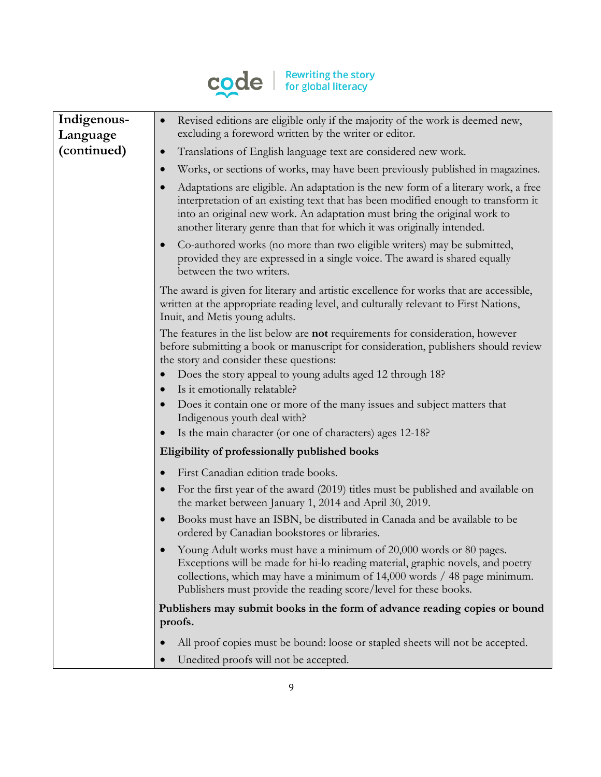

| Indigenous-<br>Language | Revised editions are eligible only if the majority of the work is deemed new,<br>$\bullet$<br>excluding a foreword written by the writer or editor.                                                                                                                                                                                       |
|-------------------------|-------------------------------------------------------------------------------------------------------------------------------------------------------------------------------------------------------------------------------------------------------------------------------------------------------------------------------------------|
| (continued)             | Translations of English language text are considered new work.<br>$\bullet$                                                                                                                                                                                                                                                               |
|                         | Works, or sections of works, may have been previously published in magazines.<br>$\bullet$                                                                                                                                                                                                                                                |
|                         | Adaptations are eligible. An adaptation is the new form of a literary work, a free<br>$\bullet$<br>interpretation of an existing text that has been modified enough to transform it<br>into an original new work. An adaptation must bring the original work to<br>another literary genre than that for which it was originally intended. |
|                         | Co-authored works (no more than two eligible writers) may be submitted,<br>$\bullet$<br>provided they are expressed in a single voice. The award is shared equally<br>between the two writers.                                                                                                                                            |
|                         | The award is given for literary and artistic excellence for works that are accessible,<br>written at the appropriate reading level, and culturally relevant to First Nations,<br>Inuit, and Metis young adults.                                                                                                                           |
|                         | The features in the list below are not requirements for consideration, however<br>before submitting a book or manuscript for consideration, publishers should review<br>the story and consider these questions:                                                                                                                           |
|                         | Does the story appeal to young adults aged 12 through 18?                                                                                                                                                                                                                                                                                 |
|                         | Is it emotionally relatable?                                                                                                                                                                                                                                                                                                              |
|                         | Does it contain one or more of the many issues and subject matters that<br>$\bullet$<br>Indigenous youth deal with?                                                                                                                                                                                                                       |
|                         | Is the main character (or one of characters) ages 12-18?<br>$\bullet$                                                                                                                                                                                                                                                                     |
|                         | Eligibility of professionally published books                                                                                                                                                                                                                                                                                             |
|                         | First Canadian edition trade books.<br>$\bullet$                                                                                                                                                                                                                                                                                          |
|                         | For the first year of the award (2019) titles must be published and available on<br>the market between January 1, 2014 and April 30, 2019.                                                                                                                                                                                                |
|                         | Books must have an ISBN, be distributed in Canada and be available to be<br>$\bullet$<br>ordered by Canadian bookstores or libraries.                                                                                                                                                                                                     |
|                         | Young Adult works must have a minimum of 20,000 words or 80 pages.<br>Exceptions will be made for hi-lo reading material, graphic novels, and poetry<br>collections, which may have a minimum of 14,000 words / 48 page minimum.<br>Publishers must provide the reading score/level for these books.                                      |
|                         | Publishers may submit books in the form of advance reading copies or bound<br>proofs.                                                                                                                                                                                                                                                     |
|                         | All proof copies must be bound: loose or stapled sheets will not be accepted.                                                                                                                                                                                                                                                             |
|                         | Unedited proofs will not be accepted.<br>$\bullet$                                                                                                                                                                                                                                                                                        |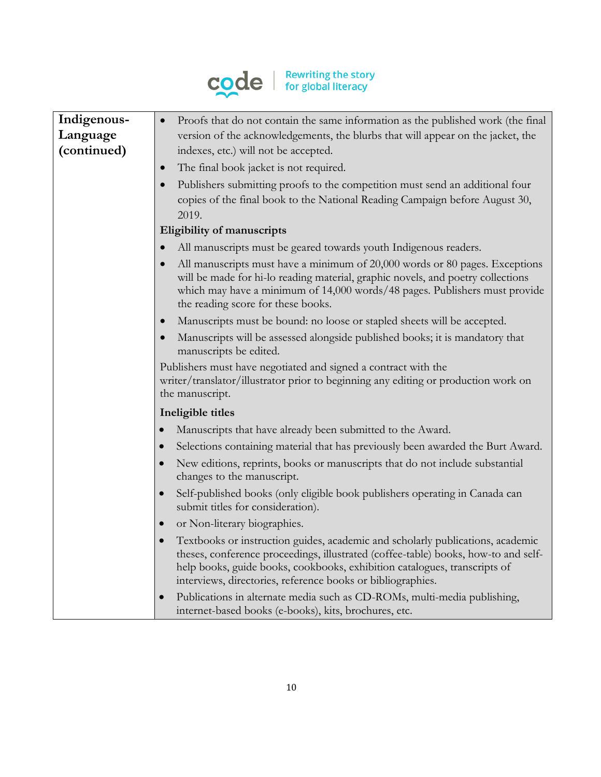

| Indigenous- | Proofs that do not contain the same information as the published work (the final                                                                                                                                                                                                                                 |
|-------------|------------------------------------------------------------------------------------------------------------------------------------------------------------------------------------------------------------------------------------------------------------------------------------------------------------------|
| Language    | version of the acknowledgements, the blurbs that will appear on the jacket, the                                                                                                                                                                                                                                  |
| (continued) | indexes, etc.) will not be accepted.                                                                                                                                                                                                                                                                             |
|             | The final book jacket is not required.<br>$\bullet$                                                                                                                                                                                                                                                              |
|             | Publishers submitting proofs to the competition must send an additional four<br>copies of the final book to the National Reading Campaign before August 30,<br>2019.                                                                                                                                             |
|             | Eligibility of manuscripts                                                                                                                                                                                                                                                                                       |
|             | All manuscripts must be geared towards youth Indigenous readers.<br>$\bullet$                                                                                                                                                                                                                                    |
|             | All manuscripts must have a minimum of 20,000 words or 80 pages. Exceptions<br>will be made for hi-lo reading material, graphic novels, and poetry collections<br>which may have a minimum of 14,000 words/48 pages. Publishers must provide<br>the reading score for these books.                               |
|             | Manuscripts must be bound: no loose or stapled sheets will be accepted.<br>$\bullet$                                                                                                                                                                                                                             |
|             | Manuscripts will be assessed alongside published books; it is mandatory that<br>manuscripts be edited.                                                                                                                                                                                                           |
|             | Publishers must have negotiated and signed a contract with the<br>writer/translator/illustrator prior to beginning any editing or production work on<br>the manuscript.                                                                                                                                          |
|             | Ineligible titles                                                                                                                                                                                                                                                                                                |
|             | Manuscripts that have already been submitted to the Award.                                                                                                                                                                                                                                                       |
|             | Selections containing material that has previously been awarded the Burt Award.<br>$\bullet$                                                                                                                                                                                                                     |
|             | New editions, reprints, books or manuscripts that do not include substantial<br>changes to the manuscript.                                                                                                                                                                                                       |
|             | Self-published books (only eligible book publishers operating in Canada can<br>$\bullet$<br>submit titles for consideration).                                                                                                                                                                                    |
|             | or Non-literary biographies.<br>$\bullet$                                                                                                                                                                                                                                                                        |
|             | Textbooks or instruction guides, academic and scholarly publications, academic<br>theses, conference proceedings, illustrated (coffee-table) books, how-to and self-<br>help books, guide books, cookbooks, exhibition catalogues, transcripts of<br>interviews, directories, reference books or bibliographies. |
|             | Publications in alternate media such as CD-ROMs, multi-media publishing,<br>internet-based books (e-books), kits, brochures, etc.                                                                                                                                                                                |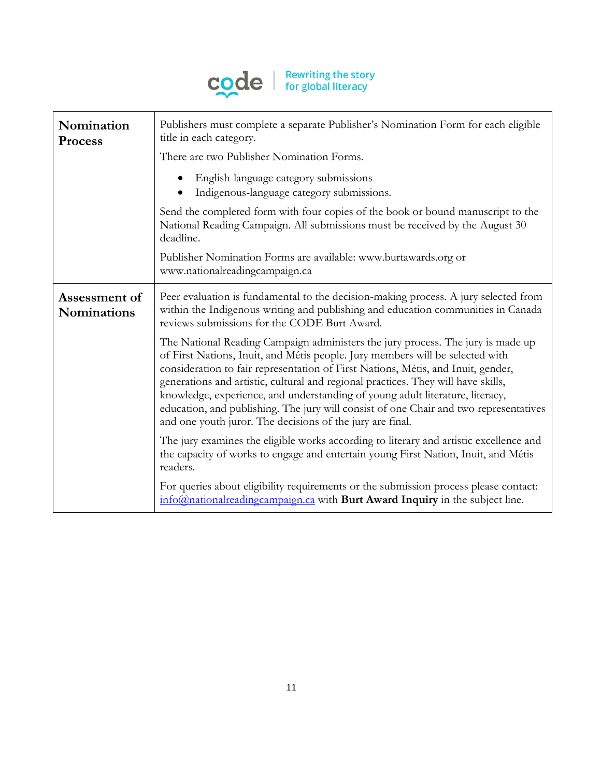

| Nomination<br><b>Process</b> | Publishers must complete a separate Publisher's Nomination Form for each eligible<br>title in each category.<br>There are two Publisher Nomination Forms.<br>English-language category submissions                                                                                                                                                                                                                                                                                                                                                                               |
|------------------------------|----------------------------------------------------------------------------------------------------------------------------------------------------------------------------------------------------------------------------------------------------------------------------------------------------------------------------------------------------------------------------------------------------------------------------------------------------------------------------------------------------------------------------------------------------------------------------------|
|                              | Indigenous-language category submissions.<br>Send the completed form with four copies of the book or bound manuscript to the<br>National Reading Campaign. All submissions must be received by the August 30<br>deadline.                                                                                                                                                                                                                                                                                                                                                        |
|                              | Publisher Nomination Forms are available: www.burtawards.org or<br>www.nationalreadingcampaign.ca                                                                                                                                                                                                                                                                                                                                                                                                                                                                                |
| Assessment of<br>Nominations | Peer evaluation is fundamental to the decision-making process. A jury selected from<br>within the Indigenous writing and publishing and education communities in Canada<br>reviews submissions for the CODE Burt Award.                                                                                                                                                                                                                                                                                                                                                          |
|                              | The National Reading Campaign administers the jury process. The jury is made up<br>of First Nations, Inuit, and Métis people. Jury members will be selected with<br>consideration to fair representation of First Nations, Métis, and Inuit, gender,<br>generations and artistic, cultural and regional practices. They will have skills,<br>knowledge, experience, and understanding of young adult literature, literacy,<br>education, and publishing. The jury will consist of one Chair and two representatives<br>and one youth juror. The decisions of the jury are final. |
|                              | The jury examines the eligible works according to literary and artistic excellence and<br>the capacity of works to engage and entertain young First Nation, Inuit, and Métis<br>readers.                                                                                                                                                                                                                                                                                                                                                                                         |
|                              | For queries about eligibility requirements or the submission process please contact:<br>info@nationalreadingcampaign.ca with Burt Award Inquiry in the subject line.                                                                                                                                                                                                                                                                                                                                                                                                             |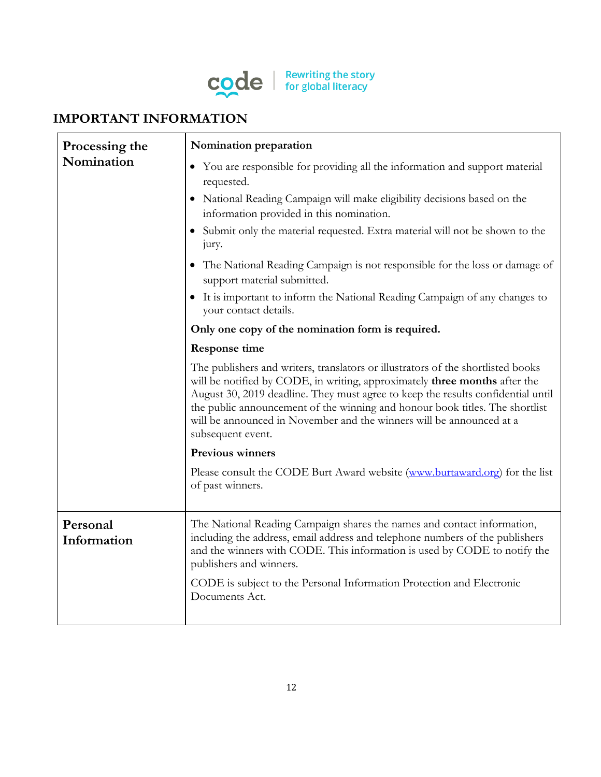

# **IMPORTANT INFORMATION**

| Processing the          | Nomination preparation                                                                                                                                                                                                                                                                                                                                                                                                          |
|-------------------------|---------------------------------------------------------------------------------------------------------------------------------------------------------------------------------------------------------------------------------------------------------------------------------------------------------------------------------------------------------------------------------------------------------------------------------|
| Nomination              | • You are responsible for providing all the information and support material<br>requested.                                                                                                                                                                                                                                                                                                                                      |
|                         | • National Reading Campaign will make eligibility decisions based on the<br>information provided in this nomination.                                                                                                                                                                                                                                                                                                            |
|                         | • Submit only the material requested. Extra material will not be shown to the<br>jury.                                                                                                                                                                                                                                                                                                                                          |
|                         | • The National Reading Campaign is not responsible for the loss or damage of<br>support material submitted.                                                                                                                                                                                                                                                                                                                     |
|                         | • It is important to inform the National Reading Campaign of any changes to<br>your contact details.                                                                                                                                                                                                                                                                                                                            |
|                         | Only one copy of the nomination form is required.                                                                                                                                                                                                                                                                                                                                                                               |
|                         | <b>Response time</b>                                                                                                                                                                                                                                                                                                                                                                                                            |
|                         | The publishers and writers, translators or illustrators of the shortlisted books<br>will be notified by CODE, in writing, approximately three months after the<br>August 30, 2019 deadline. They must agree to keep the results confidential until<br>the public announcement of the winning and honour book titles. The shortlist<br>will be announced in November and the winners will be announced at a<br>subsequent event. |
|                         | <b>Previous winners</b>                                                                                                                                                                                                                                                                                                                                                                                                         |
|                         | Please consult the CODE Burt Award website (www.burtaward.org) for the list<br>of past winners.                                                                                                                                                                                                                                                                                                                                 |
| Personal<br>Information | The National Reading Campaign shares the names and contact information,<br>including the address, email address and telephone numbers of the publishers<br>and the winners with CODE. This information is used by CODE to notify the<br>publishers and winners.                                                                                                                                                                 |
|                         | CODE is subject to the Personal Information Protection and Electronic<br>Documents Act.                                                                                                                                                                                                                                                                                                                                         |